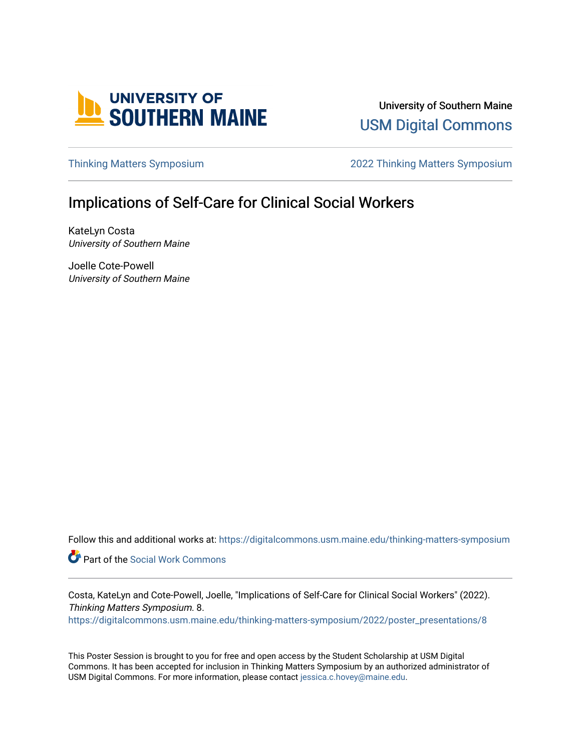

University of Southern Maine [USM Digital Commons](https://digitalcommons.usm.maine.edu/) 

[Thinking Matters Symposium](https://digitalcommons.usm.maine.edu/thinking-matters-symposium) [2022 Thinking Matters Symposium](https://digitalcommons.usm.maine.edu/thinking-matters-symposium/2022) 

#### Implications of Self-Care for Clinical Social Workers

KateLyn Costa University of Southern Maine

Joelle Cote-Powell University of Southern Maine

Follow this and additional works at: [https://digitalcommons.usm.maine.edu/thinking-matters-symposium](https://digitalcommons.usm.maine.edu/thinking-matters-symposium?utm_source=digitalcommons.usm.maine.edu%2Fthinking-matters-symposium%2F2022%2Fposter_presentations%2F8&utm_medium=PDF&utm_campaign=PDFCoverPages) 

Part of the [Social Work Commons](http://network.bepress.com/hgg/discipline/713?utm_source=digitalcommons.usm.maine.edu%2Fthinking-matters-symposium%2F2022%2Fposter_presentations%2F8&utm_medium=PDF&utm_campaign=PDFCoverPages)

Costa, KateLyn and Cote-Powell, Joelle, "Implications of Self-Care for Clinical Social Workers" (2022). Thinking Matters Symposium. 8. [https://digitalcommons.usm.maine.edu/thinking-matters-symposium/2022/poster\\_presentations/8](https://digitalcommons.usm.maine.edu/thinking-matters-symposium/2022/poster_presentations/8?utm_source=digitalcommons.usm.maine.edu%2Fthinking-matters-symposium%2F2022%2Fposter_presentations%2F8&utm_medium=PDF&utm_campaign=PDFCoverPages)

This Poster Session is brought to you for free and open access by the Student Scholarship at USM Digital Commons. It has been accepted for inclusion in Thinking Matters Symposium by an authorized administrator of USM Digital Commons. For more information, please contact [jessica.c.hovey@maine.edu](mailto:ian.fowler@maine.edu).